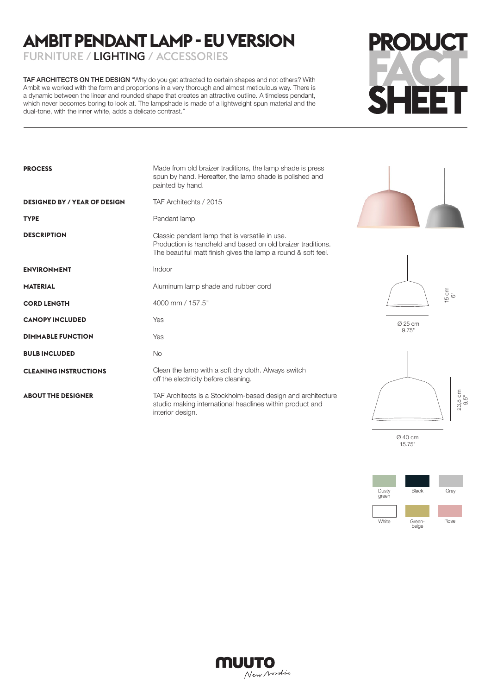# **AMBIT PENDANT LAMP - EU VERSION**

FURNITURE / LIGHTING / ACCESSORIES

TAF ARCHITECTS ON THE DESIGN "Why do you get attracted to certain shapes and not others? With Ambit we worked with the form and proportions in a very thorough and almost meticulous way. There is a dynamic between the linear and rounded shape that creates an attractive outline. A timeless pendant, which never becomes boring to look at. The lampshade is made of a lightweight spun material and the dual-tone, with the inner white, adds a delicate contrast."



| <b>PROCESS</b>                      | Made from old braizer traditions, the lamp shade is press<br>spun by hand. Hereafter, the lamp shade is polished and<br>painted by hand.                                       |
|-------------------------------------|--------------------------------------------------------------------------------------------------------------------------------------------------------------------------------|
| <b>DESIGNED BY / YEAR OF DESIGN</b> | TAF Architechts / 2015                                                                                                                                                         |
| <b>TYPE</b>                         | Pendant lamp                                                                                                                                                                   |
| <b>DESCRIPTION</b>                  | Classic pendant lamp that is versatile in use.<br>Production is handheld and based on old braizer traditions.<br>The beautiful matt finish gives the lamp a round & soft feel. |
| <b>ENVIRONMENT</b>                  | Indoor                                                                                                                                                                         |
| <b>MATERIAL</b>                     | Aluminum lamp shade and rubber cord                                                                                                                                            |
| <b>CORD LENGTH</b>                  | 4000 mm / 157.5"                                                                                                                                                               |
| <b>CANOPY INCLUDED</b>              | Yes                                                                                                                                                                            |
| <b>DIMMABLE FUNCTION</b>            | Yes                                                                                                                                                                            |
| <b>BULB INCLUDED</b>                | <b>No</b>                                                                                                                                                                      |
| <b>CLEANING INSTRUCTIONS</b>        | Clean the lamp with a soft dry cloth. Always switch<br>off the electricity before cleaning.                                                                                    |
| <b>ABOUT THE DESIGNER</b>           | TAF Architects is a Stockholm-based design and architecture<br>studio making international headlines within product and<br>interior design.                                    |





Ø 25 cm

23,8 cm 9.5"

Ø 40 cm 15.75"